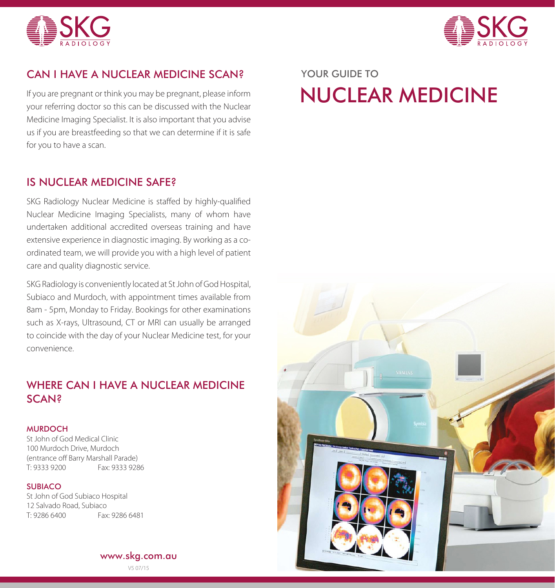



## CAN I HAVE A NUCLEAR MEDICINE SCAN? YOUR GUIDE TO

If you are pregnant or think you may be pregnant, please inform your referring doctor so this can be discussed with the Nuclear Medicine Imaging Specialist. It is also important that you advise us if you are breastfeeding so that we can determine if it is safe for you to have a scan.

#### IS NUCLEAR MEDICINE SAFE?

SKG Radiology Nuclear Medicine is staffed by highly-qualified Nuclear Medicine Imaging Specialists, many of whom have undertaken additional accredited overseas training and have extensive experience in diagnostic imaging. By working as a coordinated team, we will provide you with a high level of patient care and quality diagnostic service.

SKG Radiology is conveniently located at St John of God Hospital, Subiaco and Murdoch, with appointment times available from 8am - 5pm, Monday to Friday. Bookings for other examinations such as X-rays, Ultrasound, CT or MRI can usually be arranged to coincide with the day of your Nuclear Medicine test, for your convenience.

# WHERE CAN I HAVE A NUCLEAR MEDICINE SCAN?

#### **MURDOCH**

St John of God Medical Clinic 100 Murdoch Drive, Murdoch (entrance off Barry Marshall Parade) T: 9333 9200 Fax: 9333 9286

#### **SUBIACO**

St John of God Subiaco Hospital 12 Salvado Road, Subiaco T: 9286 6400 Fax: 9286 6481

www.skg.com.au

V5 07/15

# NUCLEAR MEDICINE